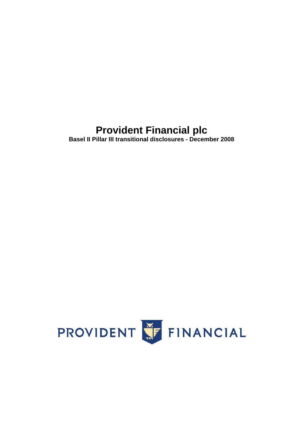# **Provident Financial plc**

**Basel II Pillar III transitional disclosures - December 2008** 

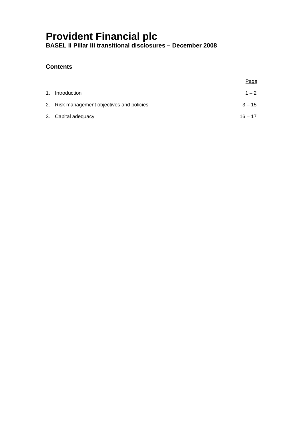## **Contents**

|    |                                            | <u>Page</u> |
|----|--------------------------------------------|-------------|
| 1. | Introduction                               | $1 - 2$     |
|    | 2. Risk management objectives and policies | $3 - 15$    |
|    | 3. Capital adequacy                        | $16 - 17$   |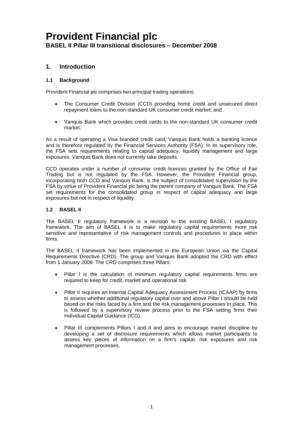## **1. Introduction**

## **1.1 Background**

Provident Financial plc comprises two principal trading operations:

- The Consumer Credit Division (CCD) providing home credit and unsecured direct repayment loans to the non-standard UK consumer credit market; and
- Vanquis Bank which provides credit cards to the non-standard UK consumer credit market.

As a result of operating a Visa branded credit card, Vanquis Bank holds a banking licence and is therefore regulated by the Financial Services Authority (FSA). In its supervisory role, the FSA sets requirements relating to capital adequacy, liquidity management and large exposures. Vanquis Bank does not currently take deposits.

CCD operates under a number of consumer credit licences granted by the Office of Fair Trading but is not regulated by the FSA. However, the Provident Financial group, incorporating both CCD and Vanquis Bank, is the subject of consolidated supervision by the FSA by virtue of Provident Financial plc being the parent company of Vanquis Bank. The FSA set requirements for the consolidated group in respect of capital adequacy and large exposures but not in respect of liquidity.

## **1.2 BASEL II**

The BASEL II regulatory framework is a revision to the existing BASEL I regulatory framework. The aim of BASEL II is to make regulatory capital requirements more risk sensitive and representative of risk management controls and procedures in place within firms.

The BASEL II framework has been implemented in the European Union via the Capital Requirements Directive (CRD). The group and Vanquis Bank adopted the CRD with effect from 1 January 2008. The CRD comprises three Pillars:

- Pillar I is the calculation of minimum regulatory capital requirements firms are required to keep for credit, market and operational risk.
- Pillar II requires an Internal Capital Adequacy Assessment Process (ICAAP) by firms to assess whether additional regulatory capital over and above Pillar I should be held based on the risks faced by a firm and the risk management processes in place. This is followed by a supervisory review process prior to the FSA setting firms their Individual Capital Guidance (ICG).
- Pillar III complements Pillars I and II and aims to encourage market discipline by developing a set of disclosure requirements which allows market participants to assess key pieces of information on a firm's capital, risk exposures and risk management processes.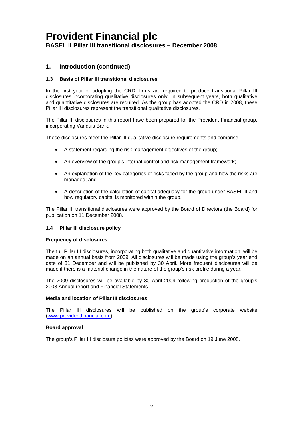## <span id="page-3-0"></span>**1. Introduction (continued)**

### **1.3 Basis of Pillar III transitional disclosures**

In the first year of adopting the CRD, firms are required to produce transitional Pillar III disclosures incorporating qualitative disclosures only. In subsequent years, both qualitative and quantitative disclosures are required. As the group has adopted the CRD in 2008, these Pillar III disclosures represent the transitional qualitative disclosures.

The Pillar III disclosures in this report have been prepared for the Provident Financial group, incorporating Vanquis Bank.

These disclosures meet the Pillar III qualitative disclosure requirements and comprise:

- A statement regarding the risk management objectives of the group:
- An overview of the group's internal control and risk management framework;
- An explanation of the key categories of risks faced by the group and how the risks are managed; and
- A description of the calculation of capital adequacy for the group under BASEL II and how regulatory capital is monitored within the group.

The Pillar III transitional disclosures were approved by the Board of Directors (the Board) for publication on 11 December 2008.

### **1.4 Pillar III disclosure policy**

#### **Frequency of disclosures**

The full Pillar III disclosures, incorporating both qualitative and quantitative information, will be made on an annual basis from 2009. All disclosures will be made using the group's year end date of 31 December and will be published by 30 April. More frequent disclosures will be made if there is a material change in the nature of the group's risk profile during a year.

The 2009 disclosures will be available by 30 April 2009 following production of the group's 2008 Annual report and Financial Statements.

## **Media and location of Pillar III disclosures**

The Pillar III disclosures will be published on the group's corporate website (www.providentfinancial.com).

#### **Board approval**

The group's Pillar III disclosure policies were approved by the Board on 19 June 2008.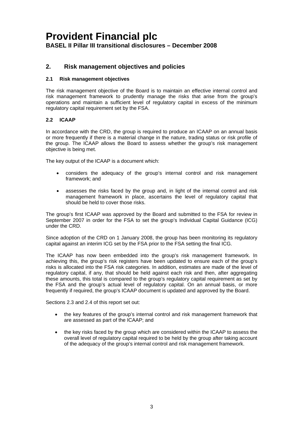## **2. Risk management objectives and policies**

#### **2.1 Risk management objectives**

The risk management objective of the Board is to maintain an effective internal control and risk management framework to prudently manage the risks that arise from the group's operations and maintain a sufficient level of regulatory capital in excess of the minimum regulatory capital requirement set by the FSA.

#### **2.2 ICAAP**

In accordance with the CRD, the group is required to produce an ICAAP on an annual basis or more frequently if there is a material change in the nature, trading status or risk profile of the group. The ICAAP allows the Board to assess whether the group's risk management objective is being met.

The key output of the ICAAP is a document which:

- • considers the adequacy of the group's internal control and risk management framework; and
- should be held to cover those risks. • assesses the risks faced by the group and, in light of the internal control and risk management framework in place, ascertains the level of regulatory capital that

The group's first ICAAP was approved by the Board and submitted to the FSA for review in September 2007 in order for the FSA to set the group's Individual Capital Guidance (ICG) under the CRD.

Since adoption of the CRD on 1 January 2008, the group has been monitoring its regulatory capital against an interim ICG set by the FSA prior to the FSA setting the final ICG.

The ICAAP has now been embedded into the group's risk management framework. In achieving this, the group's risk registers have been updated to ensure each of the group's risks is allocated into the FSA risk categories. In addition, estimates are made of the level of regulatory capital, if any, that should be held against each risk and then, after aggregating these amounts, this total is compared to the group's regulatory capital requirement as set by the FSA and the group's actual level of regulatory capital. On an annual basis, or more frequently if required, the group's ICAAP document is updated and approved by the Board.

Sections 2.3 and 2.4 of this report set out:

- the key features of the group's internal control and risk management framework that are assessed as part of the ICAAP; and
- the key risks faced by the group which are considered within the ICAAP to assess the overall level of regulatory capital required to be held by the group after taking account of the adequacy of the group's internal control and risk management framework.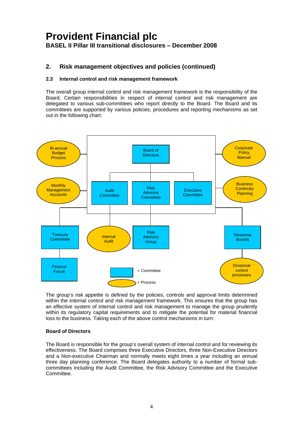## **2. Risk management objectives and policies (continued)**

## **2.3 Internal control and risk management framework**

The overall group internal control and risk management framework is the responsibility of the Board. Certain responsibilities in respect of internal control and risk management are delegated to various sub-committees who report directly to the Board. The Board and its committees are supported by various policies, procedures and reporting mechanisms as set out in the following chart:



The group's risk appetite is defined by the policies, controls and approval limits determined within the internal control and risk management framework. This ensures that the group has an effective system of internal control and risk management to manage the group prudently within its regulatory capital requirements and to mitigate the potential for material financial loss to the business. Taking each of the above control mechanisms in turn:

## **Board of Directors**

The Board is responsible for the group's overall system of internal control and for reviewing its effectiveness. The Board comprises three Executive Directors, three Non-Executive Directors and a Non-executive Chairman and normally meets eight times a year including an annual three day planning conference. The Board delegates authority to a number of formal subcommittees including the Audit Committee, the Risk Advisory Committee and the Executive **Committee.**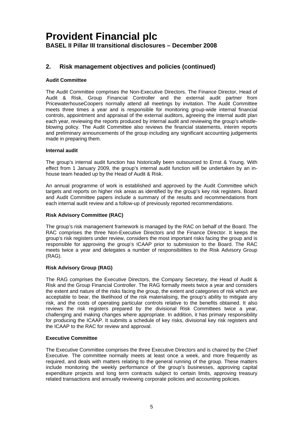## **2. Risk management objectives and policies (continued)**

## **Audit Committee**

The Audit Committee comprises the Non-Executive Directors. The Finance Director, Head of Audit & Risk, Group Financial Controller and the external audit partner from PricewaterhouseCoopers normally attend all meetings by invitation. The Audit Committee meets three times a year and is responsible for monitoring group-wide internal financial controls, appointment and appraisal of the external auditors, agreeing the internal audit plan each year, reviewing the reports produced by internal audit and reviewing the group's whistleblowing policy. The Audit Committee also reviews the financial statements, interim reports and preliminary announcements of the group including any significant accounting judgements made in preparing them.

### **Internal audit**

The group's internal audit function has historically been outsourced to Ernst & Young. With effect from 1 January 2009, the group's internal audit function will be undertaken by an inhouse team headed up by the Head of Audit & Risk.

An annual programme of work is established and approved by the Audit Committee which targets and reports on higher risk areas as identified by the group's key risk registers. Board and Audit Committee papers include a summary of the results and recommendations from each internal audit review and a follow-up of previously reported recommendations.

### **Risk Advisory Committee (RAC)**

The group's risk management framework is managed by the RAC on behalf of the Board. The RAC comprises the three Non-Executive Directors and the Finance Director. It keeps the group's risk registers under review, considers the most important risks facing the group and is responsible for approving the group's ICAAP prior to submission to the Board. The RAC meets twice a year and delegates a number of responsibilities to the Risk Advisory Group (RAG).

## **Risk Advisory Group (RAG)**

The RAG comprises the Executive Directors, the Company Secretary, the Head of Audit & Risk and the Group Financial Controller. The RAG formally meets twice a year and considers the extent and nature of the risks facing the group, the extent and categories of risk which are acceptable to bear, the likelihood of the risk materialising, the group's ability to mitigate any risk, and the costs of operating particular controls relative to the benefits obtained. It also reviews the risk registers prepared by the divisional Risk Committees twice a year, challenging and making changes where appropriate. In addition, it has primary responsibility for producing the ICAAP. It submits a schedule of key risks, divisional key risk registers and the ICAAP to the RAC for review and approval.

### **Executive Committee**

The Executive Committee comprises the three Executive Directors and is chaired by the Chief Executive. The committee normally meets at least once a week, and more frequently as required, and deals with matters relating to the general running of the group. These matters include monitoring the weekly performance of the group's businesses, approving capital expenditure projects and long term contracts subject to certain limits, approving treasury related transactions and annually reviewing corporate policies and accounting policies.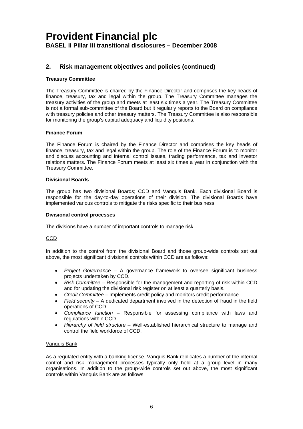## **2. Risk management objectives and policies (continued)**

## **Treasury Committee**

The Treasury Committee is chaired by the Finance Director and comprises the key heads of finance, treasury, tax and legal within the group. The Treasury Committee manages the treasury activities of the group and meets at least six times a year. The Treasury Committee is not a formal sub-committee of the Board but it regularly reports to the Board on compliance with treasury policies and other treasury matters. The Treasury Committee is also responsible for monitoring the group's capital adequacy and liquidity positions.

### **Finance Forum**

The Finance Forum is chaired by the Finance Director and comprises the key heads of finance, treasury, tax and legal within the group. The role of the Finance Forum is to monitor and discuss accounting and internal control issues, trading performance, tax and investor relations matters. The Finance Forum meets at least six times a year in conjunction with the Treasury Committee.

### **Divisional Boards**

 responsible for the day-to-day operations of their division. The divisional Boards have The group has two divisional Boards; CCD and Vanquis Bank. Each divisional Board is implemented various controls to mitigate the risks specific to their business.

#### **Divisional control processes**

The divisions have a number of important controls to manage risk.

### CCD

In addition to the control from the divisional Board and those group-wide controls set out above, the most significant divisional controls within CCD are as follows:

- • *Project Governance* A governance framework to oversee significant business projects undertaken by CCD.
- **Risk Committee** Responsible for the management and reporting of risk within CCD and for updating the divisional risk register on at least a quarterly basis.
- • *Credit Committee*  Implements credit policy and monitors credit performance.
- Field security A dedicated department involved in the detection of fraud in the field operations of CCD.
- Compliance function Responsible for assessing compliance with laws and regulations within CCD.
- Hierarchy of field structure Well-established hierarchical structure to manage and control the field workforce of CCD.

## Vanquis Bank

As a regulated entity with a banking license, Vanquis Bank replicates a number of the internal control and risk management processes typically only held at a group level in many organisations. In addition to the group-wide controls set out above, the most significant controls within Vanquis Bank are as follows: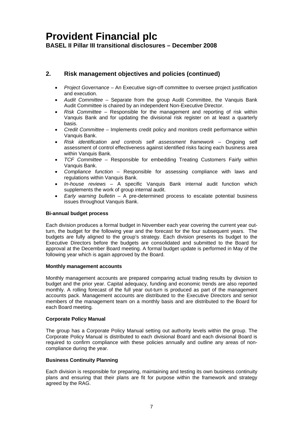## **2. Risk management objectives and policies (continued)**

- *Project Governance* An Executive sign-off committee to oversee project justification and execution.
- Audit Committee Separate from the group Audit Committee, the Vanquis Bank Audit Committee is chaired by an independent Non-Executive Director.
- • *Risk Committee* Responsible for the management and reporting of risk within Vanquis Bank and for updating the divisional risk register on at least a quarterly basis.
- Credit Committee Implements credit policy and monitors credit performance within Vanquis Bank.
- • *Risk identification and controls self assessment framework*  Ongoing self assessment of control effectiveness against identified risks facing each business area within Vanquis Bank.
- **TCF Committee** Responsible for embedding Treating Customers Fairly within Vanquis Bank.
- Compliance function Responsible for assessing compliance with laws and regulations within Vanquis Bank.
- • *In-house reviews*  A specific Vanquis Bank internal audit function which supplements the work of group internal audit.
- *Early warning bulletin* A pre-determined process to escalate potential business issues throughout Vanquis Bank.

### **Bi-annual budget process**

Each division produces a formal budget in November each year covering the current year outturn, the budget for the following year and the forecast for the four subsequent years. The budgets are fully aligned to the group's strategy. Each division presents its budget to the Executive Directors before the budgets are consolidated and submitted to the Board for approval at the December Board meeting. A formal budget update is performed in May of the following year which is again approved by the Board.

#### **Monthly management accounts**

Monthly management accounts are prepared comparing actual trading results by division to budget and the prior year. Capital adequacy, funding and economic trends are also reported monthly. A rolling forecast of the full year out-turn is produced as part of the management accounts pack. Management accounts are distributed to the Executive Directors and senior members of the management team on a monthly basis and are distributed to the Board for each Board meeting.

### **Corporate Policy Manual**

The group has a Corporate Policy Manual setting out authority levels within the group. The Corporate Policy Manual is distributed to each divisional Board and each divisional Board is required to confirm compliance with these policies annually and outline any areas of noncompliance during the year.

### **Business Continuity Planning**

Each division is responsible for preparing, maintaining and testing its own business continuity plans and ensuring that their plans are fit for purpose within the framework and strategy agreed by the RAG.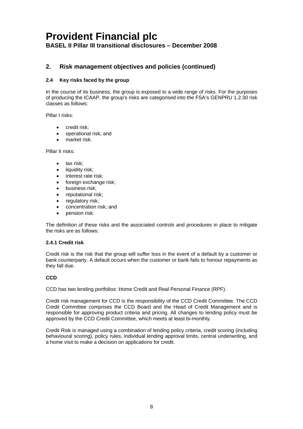## **2. Risk management objectives and policies (continued)**

## **2.4 Key risks faced by the group**

In the course of its business, the group is exposed to a wide range of risks. For the purposes of producing the ICAAP, the group's risks are categorised into the FSA's GENPRU 1.2.30 risk classes as follows:

Pillar I risks:

- credit risk;
- operational risk; and
- market risk.

Pillar II risks:

- tax risk;
- liquidity risk;
- interest rate risk;
- foreign exchange risk:
- business risk;
- reputational risk;
- regulatory risk;
- concentration risk; and
- pension risk.

The definition of these risks and the associated controls and procedures in place to mitigate the risks are as follows:

### **2.4.1 Credit risk**

Credit risk is the risk that the group will suffer loss in the event of a default by a customer or bank counterparty. A default occurs when the customer or bank fails to honour repayments as they fall due.

### **CCD**

CCD has two lending portfolios: Home Credit and Real Personal Finance (RPF).

Credit risk management for CCD is the responsibility of the CCD Credit Committee. The CCD Credit Committee comprises the CCD Board and the Head of Credit Management and is responsible for approving product criteria and pricing. All changes to lending policy must be approved by the CCD Credit Committee, which meets at least bi-monthly.

Credit Risk is managed using a combination of lending policy criteria, credit scoring (including behavioural scoring), policy rules, individual lending approval limits, central underwriting, and a home visit to make a decision on applications for credit.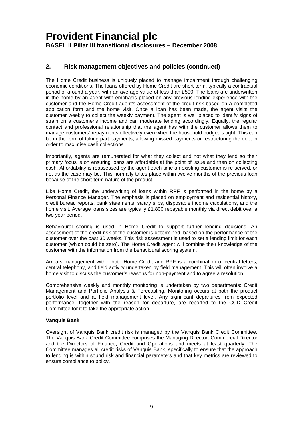## **2. Risk management objectives and policies (continued)**

The Home Credit business is uniquely placed to manage impairment through challenging economic conditions. The loans offered by Home Credit are short-term, typically a contractual period of around a year, with an average value of less than £500. The loans are underwritten in the home by an agent with emphasis placed on any previous lending experience with the customer and the Home Credit agent's assessment of the credit risk based on a completed application form and the home visit. Once a loan has been made, the agent visits the customer weekly to collect the weekly payment. The agent is well placed to identify signs of strain on a customer's income and can moderate lending accordingly. Equally, the regular contact and professional relationship that the agent has with the customer allows them to manage customers' repayments effectively even when the household budget is tight. This can be in the form of taking part payments, allowing missed payments or restructuring the debt in order to maximise cash collections.

Importantly, agents are remunerated for what they collect and not what they lend so their primary focus is on ensuring loans are affordable at the point of issue and then on collecting cash. Affordability is reassessed by the agent each time an existing customer is re-served, or not as the case may be. This normally takes place within twelve months of the previous loan because of the short-term nature of the product.

 home visit. Average loans sizes are typically £1,800 repayable monthly via direct debit over a Like Home Credit, the underwriting of loans within RPF is performed in the home by a Personal Finance Manager. The emphasis is placed on employment and residential history, credit bureau reports, bank statements, salary slips, disposable income calculations, and the two year period.

Behavioural scoring is used in Home Credit to support further lending decisions. An assessment of the credit risk of the customer is determined, based on the performance of the customer over the past 30 weeks. This risk assessment is used to set a lending limit for each customer (which could be zero). The Home Credit agent will combine their knowledge of the customer with the information from the behavioural scoring system.

Arrears management within both Home Credit and RPF is a combination of central letters, central telephony, and field activity undertaken by field management. This will often involve a home visit to discuss the customer's reasons for non-payment and to agree a resolution.

Comprehensive weekly and monthly monitoring is undertaken by two departments: Credit Management and Portfolio Analysis & Forecasting. Monitoring occurs at both the product portfolio level and at field management level. Any significant departures from expected performance, together with the reason for departure, are reported to the CCD Credit Committee for it to take the appropriate action.

### **Vanquis Bank**

Oversight of Vanquis Bank credit risk is managed by the Vanquis Bank Credit Committee. The Vanquis Bank Credit Committee comprises the Managing Director, Commercial Director and the Directors of Finance, Credit and Operations and meets at least quarterly. The Committee manages all credit risks of Vanquis Bank, specifically to ensure that the approach to lending is within sound risk and financial parameters and that key metrics are reviewed to ensure compliance to policy.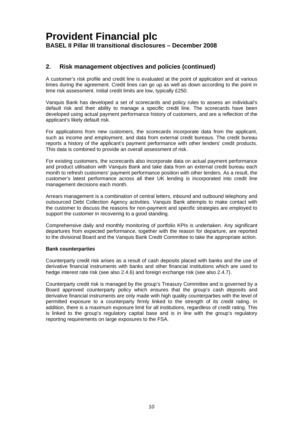## **2. Risk management objectives and policies (continued)**

A customer's risk profile and credit line is evaluated at the point of application and at various times during the agreement. Credit lines can go up as well as down according to the point in time risk assessment. Initial credit limits are low, typically £250.

Vanquis Bank has developed a set of scorecards and policy rules to assess an individual's default risk and their ability to manage a specific credit line. The scorecards have been developed using actual payment performance history of customers, and are a reflection of the applicant's likely default risk.

For applications from new customers, the scorecards incorporate data from the applicant, such as income and employment, and data from external credit bureaus. The credit bureau reports a history of the applicant's payment performance with other lenders' credit products. This data is combined to provide an overall assessment of risk.

For existing customers, the scorecards also incorporate data on actual payment performance and product utilisation with Vanquis Bank and take data from an external credit bureau each month to refresh customers' payment performance position with other lenders. As a result, the customer's latest performance across all their UK lending is incorporated into credit line management decisions each month.

Arrears management is a combination of central letters, inbound and outbound telephony and outsourced Debt Collection Agency activities. Vanquis Bank attempts to make contact with the customer to discuss the reasons for non-payment and specific strategies are employed to support the customer in recovering to a good standing.

Comprehensive daily and monthly monitoring of portfolio KPIs is undertaken. Any significant departures from expected performance, together with the reason for departure, are reported to the divisional Board and the Vanquis Bank Credit Committee to take the appropriate action.

### **Bank counterparties**

Counterparty credit risk arises as a result of cash deposits placed with banks and the use of derivative financial instruments with banks and other financial institutions which are used to hedge interest rate risk (see also 2.4.6) and foreign exchange risk (see also 2.4.7).

Counterparty credit risk is managed by the group's Treasury Committee and is governed by a Board approved counterparty policy which ensures that the group's cash deposits and derivative financial instruments are only made with high quality counterparties with the level of permitted exposure to a counterparty firmly linked to the strength of its credit rating. In addition, there is a maximum exposure limit for all institutions, regardless of credit rating. This is linked to the group's regulatory capital base and is in line with the group's regulatory reporting requirements on large exposures to the FSA.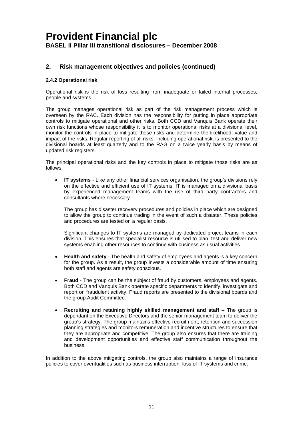## **2. Risk management objectives and policies (continued)**

### **2.4.2 Operational risk**

Operational risk is the risk of loss resulting from inadequate or failed internal processes, people and systems.

The group manages operational risk as part of the risk management process which is overseen by the RAC. Each division has the responsibility for putting in place appropriate controls to mitigate operational and other risks. Both CCD and Vanquis Bank operate their own risk functions whose responsibility it is to monitor operational risks at a divisional level, monitor the controls in place to mitigate those risks and determine the likelihood, value and impact of the risks. Regular reporting of all risks, including operational risk, is presented to the divisional boards at least quarterly and to the RAG on a twice yearly basis by means of updated risk registers.

The principal operational risks and the key controls in place to mitigate those risks are as follows:

**IT systems** - Like any other financial services organisation, the group's divisions rely on the effective and efficient use of IT systems. IT is managed on a divisional basis by experienced management teams with the use of third party contractors and consultants where necessary.

The group has disaster recovery procedures and policies in place which are designed to allow the group to continue trading in the event of such a disaster. These policies and procedures are tested on a regular basis.

Significant changes to IT systems are managed by dedicated project teams in each division. This ensures that specialist resource is utilised to plan, test and deliver new systems enabling other resources to continue with business as usual activities.

- **Health and safety** The health and safety of employees and agents is a key concern for the group. As a result, the group invests a considerable amount of time ensuring both staff and agents are safety conscious.
- **Fraud** The group can be the subject of fraud by customers, employees and agents. Both CCD and Vanquis Bank operate specific departments to identify, investigate and report on fraudulent activity. Fraud reports are presented to the divisional boards and the group Audit Committee.
- **Recruiting and retaining highly skilled management and staff The group is** dependant on the Executive Directors and the senior management team to deliver the group's strategy. The group maintains effective recruitment, retention and succession planning strategies and monitors remuneration and incentive structures to ensure that they are appropriate and competitive. The group also ensures that there are training and development opportunities and effective staff communication throughout the business.

In addition to the above mitigating controls, the group also maintains a range of insurance policies to cover eventualities such as business interruption, loss of IT systems and crime.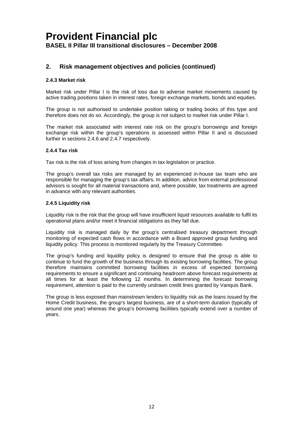## **2. Risk management objectives and policies (continued)**

### **2.4.3 Market risk**

Market risk under Pillar I is the risk of loss due to adverse market movements caused by active trading positions taken in interest rates, foreign exchange markets, bonds and equities.

The group is not authorised to undertake position taking or trading books of this type and therefore does not do so. Accordingly, the group is not subject to market risk under Pillar I.

The market risk associated with interest rate risk on the group's borrowings and foreign exchange risk within the group's operations is assessed within Pillar II and is discussed further in sections 2.4.6 and 2.4.7 respectively.

### **2.4.4 Tax risk**

Tax risk is the risk of loss arising from changes in tax legislation or practice.

The group's overall tax risks are managed by an experienced in-house tax team who are responsible for managing the group's tax affairs. In addition, advice from external professional advisors is sought for all material transactions and, where possible, tax treatments are agreed in advance with any relevant authorities.

### **2.4.5 Liquidity risk**

Liquidity risk is the risk that the group will have insufficient liquid resources available to fulfil its operational plans and/or meet it financial obligations as they fall due.

Liquidity risk is managed daily by the group's centralised treasury department through monitoring of expected cash flows in accordance with a Board approved group funding and liquidity policy. This process is monitored regularly by the Treasury Committee.

The group's funding and liquidity policy is designed to ensure that the group is able to continue to fund the growth of the business through its existing borrowing facilities. The group therefore maintains committed borrowing facilities in excess of expected borrowing requirements to ensure a significant and continuing headroom above forecast requirements at all times for at least the following 12 months. In determining the forecast borrowing requirement, attention is paid to the currently undrawn credit lines granted by Vanquis Bank.

The group is less exposed than mainstream lenders to liquidity risk as the loans issued by the Home Credit business, the group's largest business, are of a short-term duration (typically of around one year) whereas the group's borrowing facilities typically extend over a number of years.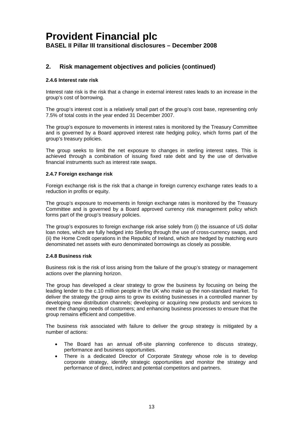## **2. Risk management objectives and policies (continued)**

#### **2.4.6 Interest rate risk**

Interest rate risk is the risk that a change in external interest rates leads to an increase in the group's cost of borrowing.

The group's interest cost is a relatively small part of the group's cost base, representing only 7.5% of total costs in the year ended 31 December 2007.

The group's exposure to movements in interest rates is monitored by the Treasury Committee and is governed by a Board approved interest rate hedging policy, which forms part of the group's treasury policies.

The group seeks to limit the net exposure to changes in sterling interest rates. This is achieved through a combination of issuing fixed rate debt and by the use of derivative financial instruments such as interest rate swaps.

#### **2.4.7 Foreign exchange risk**

Foreign exchange risk is the risk that a change in foreign currency exchange rates leads to a reduction in profits or equity.

The group's exposure to movements in foreign exchange rates is monitored by the Treasury Committee and is governed by a Board approved currency risk management policy which forms part of the group's treasury policies.

The group's exposures to foreign exchange risk arise solely from (i) the issuance of US dollar loan notes, which are fully hedged into Sterling through the use of cross-currency swaps, and (ii) the Home Credit operations in the Republic of Ireland, which are hedged by matching euro denominated net assets with euro denominated borrowings as closely as possible.

#### **2.4.8 Business risk**

Business risk is the risk of loss arising from the failure of the group's strategy or management actions over the planning horizon.

The group has developed a clear strategy to grow the business by focusing on being the leading lender to the c.10 million people in the UK who make up the non-standard market. To deliver the strategy the group aims to grow its existing businesses in a controlled manner by developing new distribution channels; developing or acquiring new products and services to meet the changing needs of customers; and enhancing business processes to ensure that the group remains efficient and competitive.

The business risk associated with failure to deliver the group strategy is mitigated by a number of actions:

- The Board has an annual off-site planning conference to discuss strategy, performance and business opportunities.
- There is a dedicated Director of Corporate Strategy whose role is to develop corporate strategy, identify strategic opportunities and monitor the strategy and performance of direct, indirect and potential competitors and partners.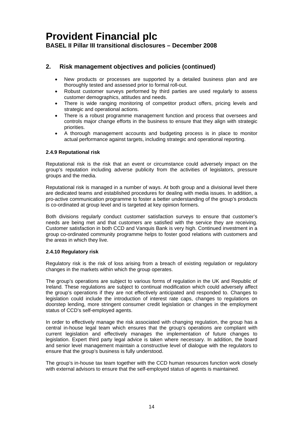## **2. Risk management objectives and policies (continued)**

- New products or processes are supported by a detailed business plan and are thoroughly tested and assessed prior to formal roll-out.
- Robust customer surveys performed by third parties are used regularly to assess customer demographics, attitudes and needs.
- There is wide ranging monitoring of competitor product offers, pricing levels and strategic and operational actions.
- There is a robust programme management function and process that oversees and controls major change efforts in the business to ensure that they align with strategic priorities.
- A thorough management accounts and budgeting process is in place to monitor actual performance against targets, including strategic and operational reporting.

### **2.4.9 Reputational risk**

Reputational risk is the risk that an event or circumstance could adversely impact on the group's reputation including adverse publicity from the activities of legislators, pressure groups and the media.

Reputational risk is managed in a number of ways. At both group and a divisional level there are dedicated teams and established procedures for dealing with media issues. In addition, a pro-active communication programme to foster a better understanding of the group's products is co-ordinated at group level and is targeted at key opinion formers.

Both divisions regularly conduct customer satisfaction surveys to ensure that customer's needs are being met and that customers are satisfied with the service they are receiving. Customer satisfaction in both CCD and Vanquis Bank is very high. Continued investment in a group co-ordinated community programme helps to foster good relations with customers and the areas in which they live.

### **2.4.10 Regulatory risk**

Regulatory risk is the risk of loss arising from a breach of existing regulation or regulatory changes in the markets within which the group operates.

The group's operations are subject to various forms of regulation in the UK and Republic of Ireland. These regulations are subject to continual modification which could adversely affect the group's operations if they are not effectively anticipated and responded to. Changes to legislation could include the introduction of interest rate caps, changes to regulations on doorstep lending, more stringent consumer credit legislation or changes in the employment status of CCD's self-employed agents.

In order to effectively manage the risk associated with changing regulation, the group has a central in-house legal team which ensures that the group's operations are compliant with current legislation and effectively manages the implementation of future changes to legislation. Expert third party legal advice is taken where necessary. In addition, the board and senior level management maintain a constructive level of dialogue with the regulators to ensure that the group's business is fully understood.

The group's in-house tax team together with the CCD human resources function work closely with external advisors to ensure that the self-employed status of agents is maintained.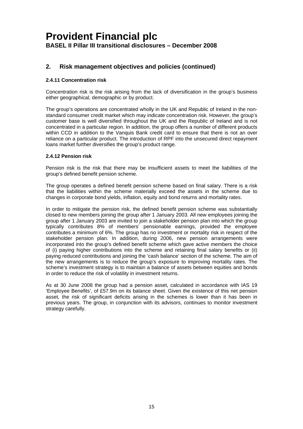## <span id="page-16-0"></span>**2. Risk management objectives and policies (continued)**

## **2.4.11 Concentration risk**

Concentration risk is the risk arising from the lack of diversification in the group's business either geographical, demographic or by product.

The group's operations are concentrated wholly in the UK and Republic of Ireland in the nonstandard consumer credit market which may indicate concentration risk. However, the group's customer base is well diversified throughout the UK and the Republic of Ireland and is not concentrated in a particular region. In addition, the group offers a number of different products within CCD in addition to the Vanguis Bank credit card to ensure that there is not an over reliance on a particular product. The introduction of RPF into the unsecured direct repayment loans market further diversifies the group's product range.

### **2.4.12 Pension risk**

Pension risk is the risk that there may be insufficient assets to meet the liabilities of the group's defined benefit pension scheme.

The group operates a defined benefit pension scheme based on final salary. There is a risk that the liabilities within the scheme materially exceed the assets in the scheme due to changes in corporate bond yields, inflation, equity and bond returns and mortality rates.

In order to mitigate the pension risk, the defined benefit pension scheme was substantially closed to new members joining the group after 1 January 2003. All new employees joining the group after 1 January 2003 are invited to join a stakeholder pension plan into which the group typically contributes 8% of members' pensionable earnings, provided the employee contributes a minimum of 6%. The group has no investment or mortality risk in respect of the stakeholder pension plan. In addition, during 2006, new pension arrangements were incorporated into the group's defined benefit scheme which gave active members the choice of (i) paying higher contributions into the scheme and retaining final salary benefits or (ii) paying reduced contributions and joining the 'cash balance' section of the scheme. The aim of the new arrangements is to reduce the group's exposure to improving mortality rates. The scheme's investment strategy is to maintain a balance of assets between equities and bonds in order to reduce the risk of volatility in investment returns.

As at 30 June 2008 the group had a pension asset, calculated in accordance with IAS 19 'Employee Benefits', of £57.9m on its balance sheet. Given the existence of this net pension asset, the risk of significant deficits arising in the schemes is lower than it has been in previous years. The group, in conjunction with its advisors, continues to monitor investment strategy carefully.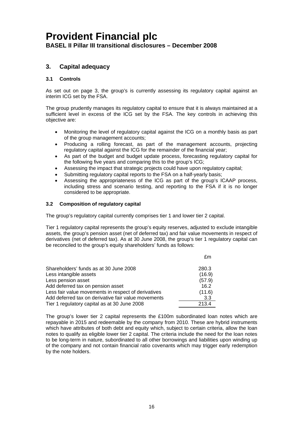## **3. Capital adequacy**

## **3.1 Controls**

interim ICG set by the FSA. As set out on page 3, the group's is currently assessing its regulatory capital against an

The group prudently manages its regulatory capital to ensure that it is always maintained at a sufficient level in excess of the ICG set by the FSA. The key controls in achieving this objective are:

- Monitoring the level of regulatory capital against the ICG on a monthly basis as part of the group management accounts;
- Producing a rolling forecast, as part of the management accounts, projecting regulatory capital against the ICG for the remainder of the financial year;
- As part of the budget and budget update process, forecasting regulatory capital for the following five years and comparing this to the group's ICG;
- Assessing the impact that strategic projects could have upon regulatory capital;
- Submitting regulatory capital reports to the FSA on a half-yearly basis;
- Assessing the appropriateness of the ICG as part of the group's ICAAP process, including stress and scenario testing, and reporting to the FSA if it is no longer considered to be appropriate.

### **3.2 Composition of regulatory capital**

The group's regulatory capital currently comprises tier 1 and lower tier 2 capital.

Tier 1 regulatory capital represents the group's equity reserves, adjusted to exclude intangible assets, the group's pension asset (net of deferred tax) and fair value movements in respect of derivatives (net of deferred tax). As at 30 June 2008, the group's tier 1 regulatory capital can be reconciled to the group's equity shareholders' funds as follows:

|                                                     | £m     |
|-----------------------------------------------------|--------|
| Shareholders' funds as at 30 June 2008              | 280.3  |
| Less intangible assets                              | (16.9) |
| Less pension asset                                  | (57.9) |
| Add deferred tax on pension asset                   | 16.2   |
| Less fair value movements in respect of derivatives | (11.6) |
| Add deferred tax on derivative fair value movements | 3.3    |
| Tier 1 regulatory capital as at 30 June 2008        | 213.4  |

The group's lower tier 2 capital represents the £100m subordinated loan notes which are repayable in 2015 and redeemable by the company from 2010. These are hybrid instruments which have attributes of both debt and equity which, subject to certain criteria, allow the loan notes to qualify as eligible lower tier 2 capital. The criteria include the need for the loan notes to be long-term in nature, subordinated to all other borrowings and liabilities upon winding up of the company and not contain financial ratio covenants which may trigger early redemption by the note holders.